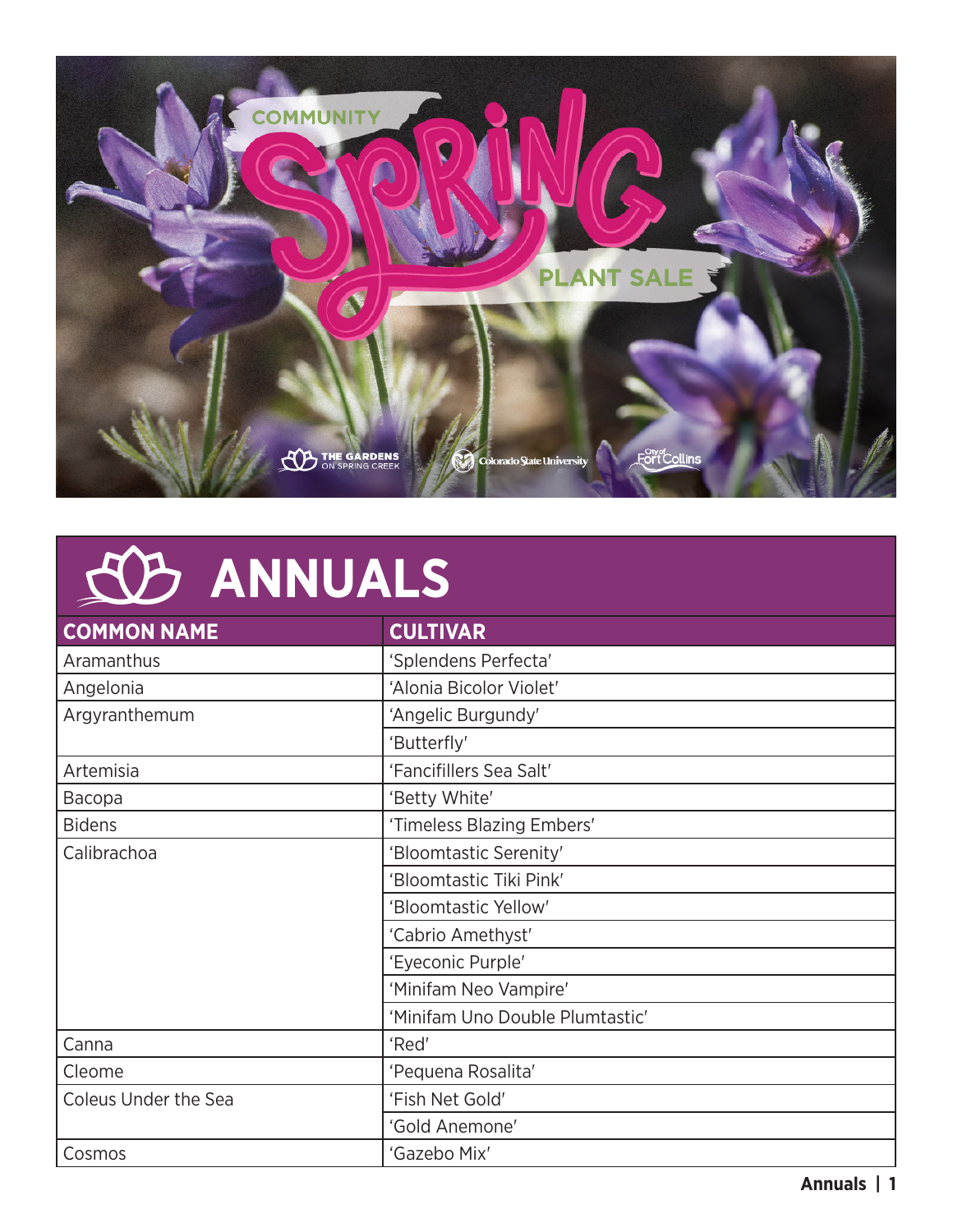

### **ANNUALS**

| <b>COMMON NAME</b>          | <b>CULTIVAR</b>                 |
|-----------------------------|---------------------------------|
| Aramanthus                  | 'Splendens Perfecta'            |
| Angelonia                   | 'Alonia Bicolor Violet'         |
| Argyranthemum               | 'Angelic Burgundy'              |
|                             | 'Butterfly'                     |
| Artemisia                   | 'Fancifillers Sea Salt'         |
| Bacopa                      | 'Betty White'                   |
| <b>Bidens</b>               | 'Timeless Blazing Embers'       |
| Calibrachoa                 | 'Bloomtastic Serenity'          |
|                             | 'Bloomtastic Tiki Pink'         |
|                             | 'Bloomtastic Yellow'            |
|                             | 'Cabrio Amethyst'               |
|                             | 'Eyeconic Purple'               |
|                             | 'Minifam Neo Vampire'           |
|                             | 'Minifam Uno Double Plumtastic' |
| Canna                       | 'Red'                           |
| Cleome                      | 'Pequena Rosalita'              |
| <b>Coleus Under the Sea</b> | 'Fish Net Gold'                 |
|                             | 'Gold Anemone'                  |
| Cosmos                      | 'Gazebo Mix'                    |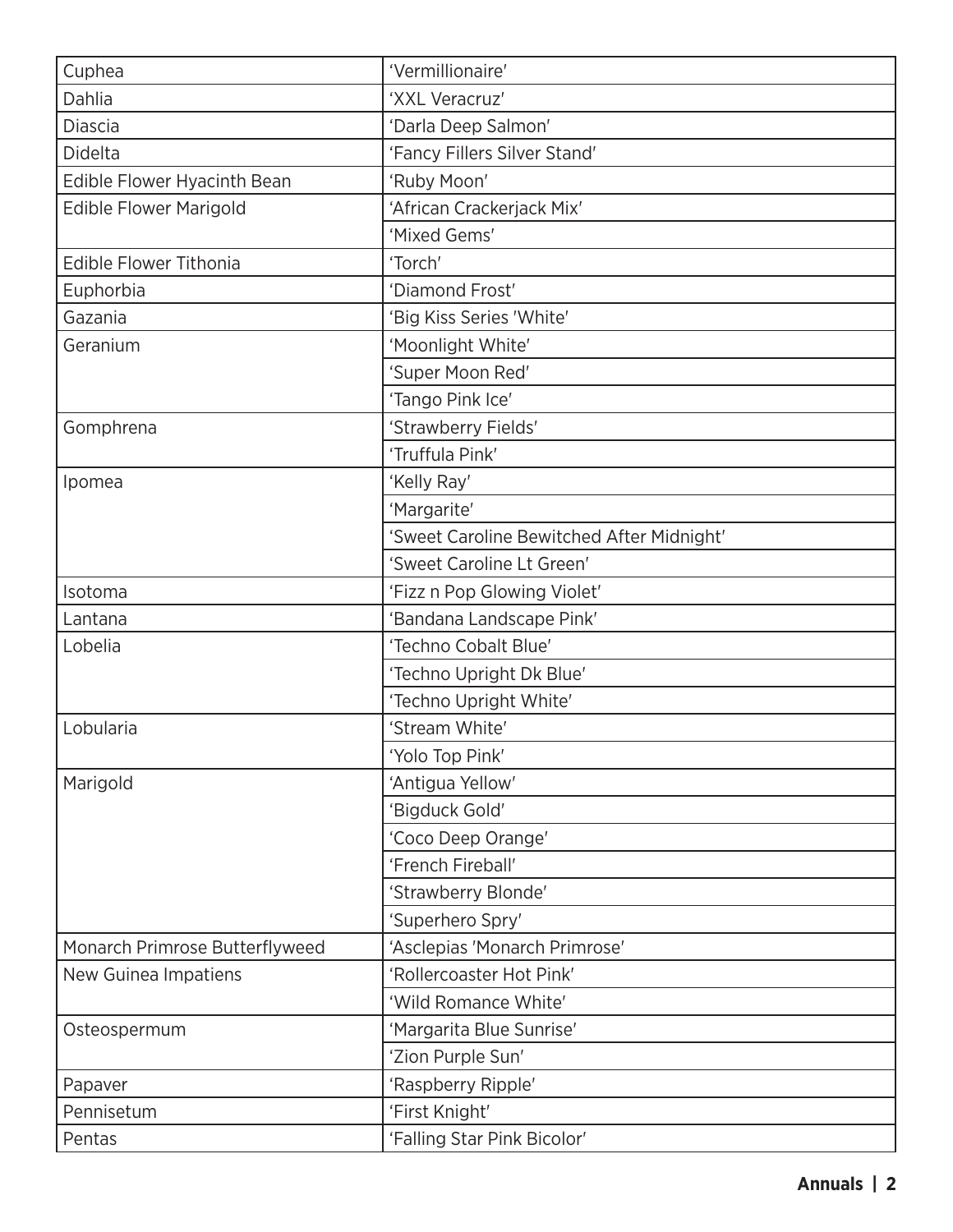| Cuphea                         | 'Vermillionaire'                          |  |
|--------------------------------|-------------------------------------------|--|
| Dahlia                         | 'XXL Veracruz'                            |  |
| <b>Diascia</b>                 | 'Darla Deep Salmon'                       |  |
| Didelta                        | 'Fancy Fillers Silver Stand'              |  |
| Edible Flower Hyacinth Bean    | 'Ruby Moon'                               |  |
| <b>Edible Flower Marigold</b>  | 'African Crackerjack Mix'                 |  |
|                                | 'Mixed Gems'                              |  |
| <b>Edible Flower Tithonia</b>  | 'Torch'                                   |  |
| Euphorbia                      | 'Diamond Frost'                           |  |
| Gazania                        | 'Big Kiss Series 'White'                  |  |
| Geranium                       | 'Moonlight White'                         |  |
|                                | 'Super Moon Red'                          |  |
|                                | 'Tango Pink Ice'                          |  |
| Gomphrena                      | 'Strawberry Fields'                       |  |
|                                | 'Truffula Pink'                           |  |
| Ipomea                         | 'Kelly Ray'                               |  |
|                                | 'Margarite'                               |  |
|                                | 'Sweet Caroline Bewitched After Midnight' |  |
|                                | 'Sweet Caroline Lt Green'                 |  |
| Isotoma                        | 'Fizz n Pop Glowing Violet'               |  |
| Lantana                        | 'Bandana Landscape Pink'                  |  |
| Lobelia                        | 'Techno Cobalt Blue'                      |  |
|                                | 'Techno Upright Dk Blue'                  |  |
|                                | 'Techno Upright White'                    |  |
| Lobularia                      | 'Stream White'                            |  |
|                                | 'Yolo Top Pink'                           |  |
| Marigold                       | 'Antigua Yellow'                          |  |
|                                | 'Bigduck Gold'                            |  |
|                                | 'Coco Deep Orange'                        |  |
|                                | 'French Fireball'                         |  |
|                                | 'Strawberry Blonde'                       |  |
|                                | 'Superhero Spry'                          |  |
| Monarch Primrose Butterflyweed | 'Asclepias 'Monarch Primrose'             |  |
| New Guinea Impatiens           | 'Rollercoaster Hot Pink'                  |  |
|                                | 'Wild Romance White'                      |  |
| Osteospermum                   | 'Margarita Blue Sunrise'                  |  |
|                                | 'Zion Purple Sun'                         |  |
| Papaver                        | 'Raspberry Ripple'                        |  |
| Pennisetum                     | 'First Knight'                            |  |
| Pentas                         | 'Falling Star Pink Bicolor'               |  |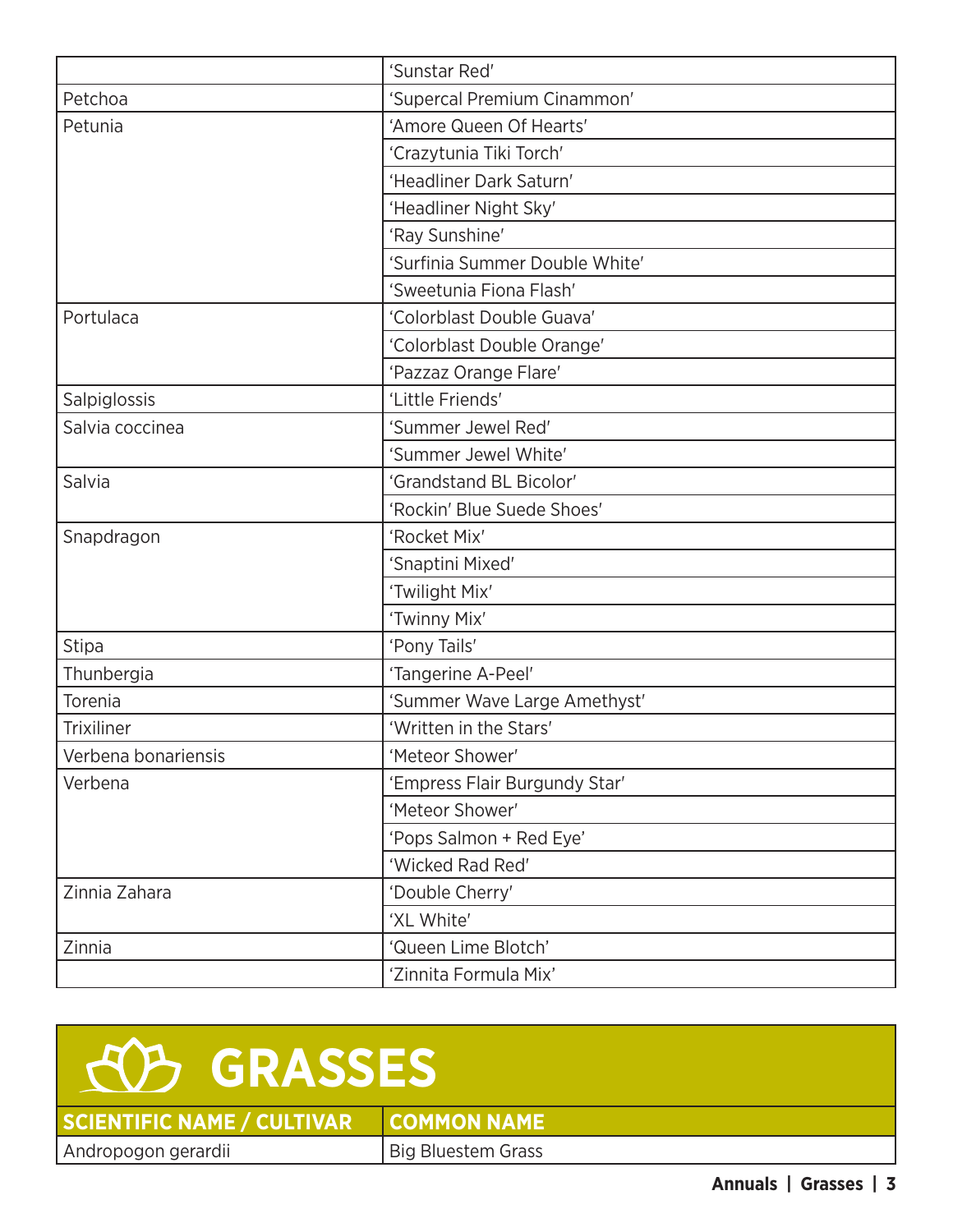|                     | 'Sunstar Red'                  |  |
|---------------------|--------------------------------|--|
| Petchoa             | 'Supercal Premium Cinammon'    |  |
| Petunia             | 'Amore Queen Of Hearts'        |  |
|                     | 'Crazytunia Tiki Torch'        |  |
|                     | 'Headliner Dark Saturn'        |  |
|                     | 'Headliner Night Sky'          |  |
|                     | 'Ray Sunshine'                 |  |
|                     | 'Surfinia Summer Double White' |  |
|                     | 'Sweetunia Fiona Flash'        |  |
| Portulaca           | 'Colorblast Double Guava'      |  |
|                     | 'Colorblast Double Orange'     |  |
|                     | 'Pazzaz Orange Flare'          |  |
| Salpiglossis        | 'Little Friends'               |  |
| Salvia coccinea     | 'Summer Jewel Red'             |  |
|                     | 'Summer Jewel White'           |  |
| Salvia              | 'Grandstand BL Bicolor'        |  |
|                     | 'Rockin' Blue Suede Shoes'     |  |
| Snapdragon          | 'Rocket Mix'                   |  |
|                     | 'Snaptini Mixed'               |  |
|                     | 'Twilight Mix'                 |  |
|                     | 'Twinny Mix'                   |  |
| <b>Stipa</b>        | 'Pony Tails'                   |  |
| Thunbergia          | 'Tangerine A-Peel'             |  |
| Torenia             | 'Summer Wave Large Amethyst'   |  |
| <b>Trixiliner</b>   | 'Written in the Stars'         |  |
| Verbena bonariensis | 'Meteor Shower'                |  |
| Verbena             | 'Empress Flair Burgundy Star'  |  |
|                     | 'Meteor Shower'                |  |
|                     | 'Pops Salmon + Red Eye'        |  |
|                     | 'Wicked Rad Red'               |  |
| Zinnia Zahara       | 'Double Cherry'                |  |
|                     | 'XL White'                     |  |
| Zinnia              | 'Queen Lime Blotch'            |  |
|                     | 'Zinnita Formula Mix'          |  |



**SCIENTIFIC NAME / CULTIVAR COMMON NAME** Andropogon gerardii Big Bluestem Grass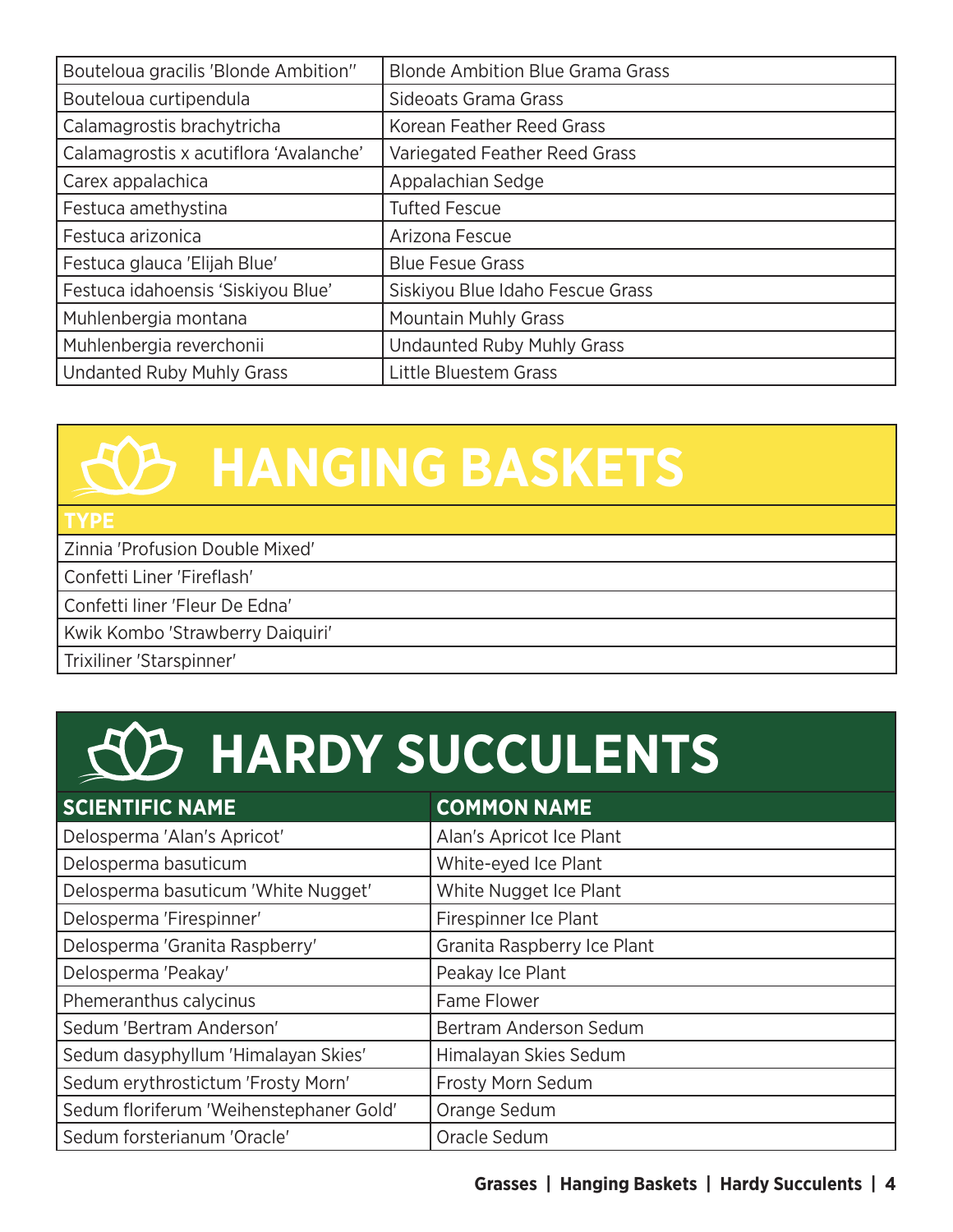| Bouteloua gracilis 'Blonde Ambition"   | <b>Blonde Ambition Blue Grama Grass</b> |
|----------------------------------------|-----------------------------------------|
| Bouteloua curtipendula                 | Sideoats Grama Grass                    |
| Calamagrostis brachytricha             | Korean Feather Reed Grass               |
| Calamagrostis x acutiflora 'Avalanche' | Variegated Feather Reed Grass           |
| Carex appalachica                      | Appalachian Sedge                       |
| Festuca amethystina                    | <b>Tufted Fescue</b>                    |
| Festuca arizonica                      | Arizona Fescue                          |
| Festuca glauca 'Elijah Blue'           | <b>Blue Fesue Grass</b>                 |
| Festuca idahoensis 'Siskiyou Blue'     | Siskiyou Blue Idaho Fescue Grass        |
| Muhlenbergia montana                   | <b>Mountain Muhly Grass</b>             |
| Muhlenbergia reverchonii               | <b>Undaunted Ruby Muhly Grass</b>       |
| <b>Undanted Ruby Muhly Grass</b>       | Little Bluestem Grass                   |

### **HANGING BASKETS**

#### **TYPE**

Zinnia 'Profusion Double Mixed'

Confetti Liner 'Fireflash'

Confetti liner 'Fleur De Edna'

Kwik Kombo 'Strawberry Daiquiri'

Trixiliner 'Starspinner'

#### **HARDY SUCCULENTS**

| <b>SCIENTIFIC NAME</b>                  | <b>COMMON NAME</b>          |
|-----------------------------------------|-----------------------------|
| Delosperma 'Alan's Apricot'             | Alan's Apricot Ice Plant    |
| Delosperma basuticum                    | White-eyed Ice Plant        |
| Delosperma basuticum 'White Nugget'     | White Nugget Ice Plant      |
| Delosperma 'Firespinner'                | Firespinner Ice Plant       |
| Delosperma 'Granita Raspberry'          | Granita Raspberry Ice Plant |
| Delosperma 'Peakay'                     | Peakay Ice Plant            |
| Phemeranthus calycinus                  | Fame Flower                 |
| Sedum 'Bertram Anderson'                | Bertram Anderson Sedum      |
| Sedum dasyphyllum 'Himalayan Skies'     | Himalayan Skies Sedum       |
| Sedum erythrostictum 'Frosty Morn'      | <b>Frosty Morn Sedum</b>    |
| Sedum floriferum 'Weihenstephaner Gold' | Orange Sedum                |
| Sedum forsterianum 'Oracle'             | Oracle Sedum                |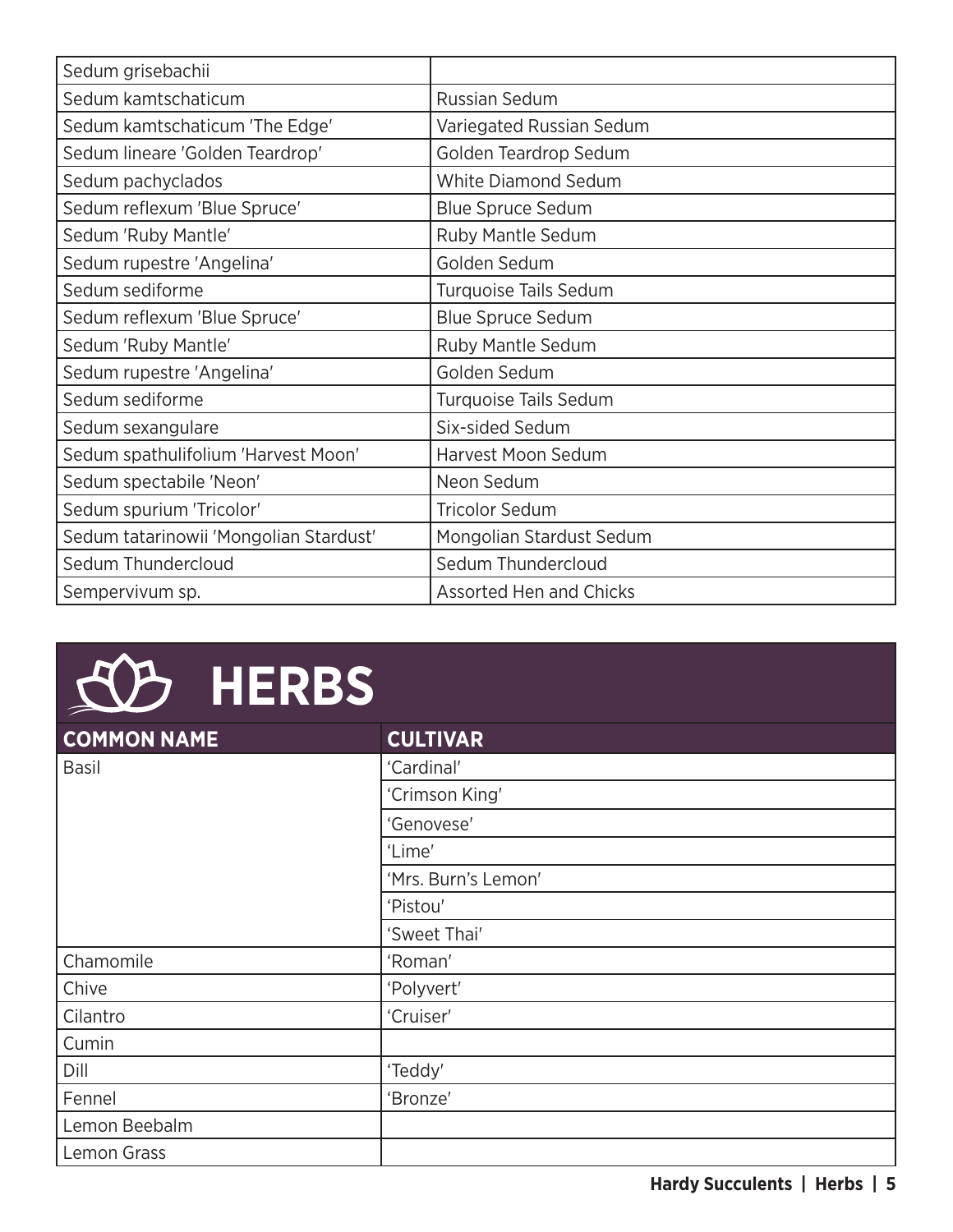| Sedum grisebachii                      |                                |
|----------------------------------------|--------------------------------|
| Sedum kamtschaticum                    | <b>Russian Sedum</b>           |
| Sedum kamtschaticum 'The Edge'         | Variegated Russian Sedum       |
| Sedum lineare 'Golden Teardrop'        | Golden Teardrop Sedum          |
| Sedum pachyclados                      | <b>White Diamond Sedum</b>     |
| Sedum reflexum 'Blue Spruce'           | <b>Blue Spruce Sedum</b>       |
| Sedum 'Ruby Mantle'                    | Ruby Mantle Sedum              |
| Sedum rupestre 'Angelina'              | Golden Sedum                   |
| Sedum sediforme                        | <b>Turquoise Tails Sedum</b>   |
| Sedum reflexum 'Blue Spruce'           | <b>Blue Spruce Sedum</b>       |
| Sedum 'Ruby Mantle'                    | Ruby Mantle Sedum              |
| Sedum rupestre 'Angelina'              | Golden Sedum                   |
| Sedum sediforme                        | <b>Turquoise Tails Sedum</b>   |
| Sedum sexangulare                      | Six-sided Sedum                |
| Sedum spathulifolium 'Harvest Moon'    | Harvest Moon Sedum             |
| Sedum spectabile 'Neon'                | Neon Sedum                     |
| Sedum spurium 'Tricolor'               | <b>Tricolor Sedum</b>          |
| Sedum tatarinowii 'Mongolian Stardust' | Mongolian Stardust Sedum       |
| Sedum Thundercloud                     | Sedum Thundercloud             |
| Sempervivum sp.                        | <b>Assorted Hen and Chicks</b> |

# **HERBS**

| <b>COMMON NAME</b> | <b>CULTIVAR</b>     |
|--------------------|---------------------|
| <b>Basil</b>       | 'Cardinal'          |
|                    | 'Crimson King'      |
|                    | 'Genovese'          |
|                    | 'Lime'              |
|                    | 'Mrs. Burn's Lemon' |
|                    | 'Pistou'            |
|                    | 'Sweet Thai'        |
| Chamomile          | 'Roman'             |
| Chive              | 'Polyvert'          |
| Cilantro           | 'Cruiser'           |
| Cumin              |                     |
| Dill               | 'Teddy'             |
| Fennel             | 'Bronze'            |
| Lemon Beebalm      |                     |
| Lemon Grass        |                     |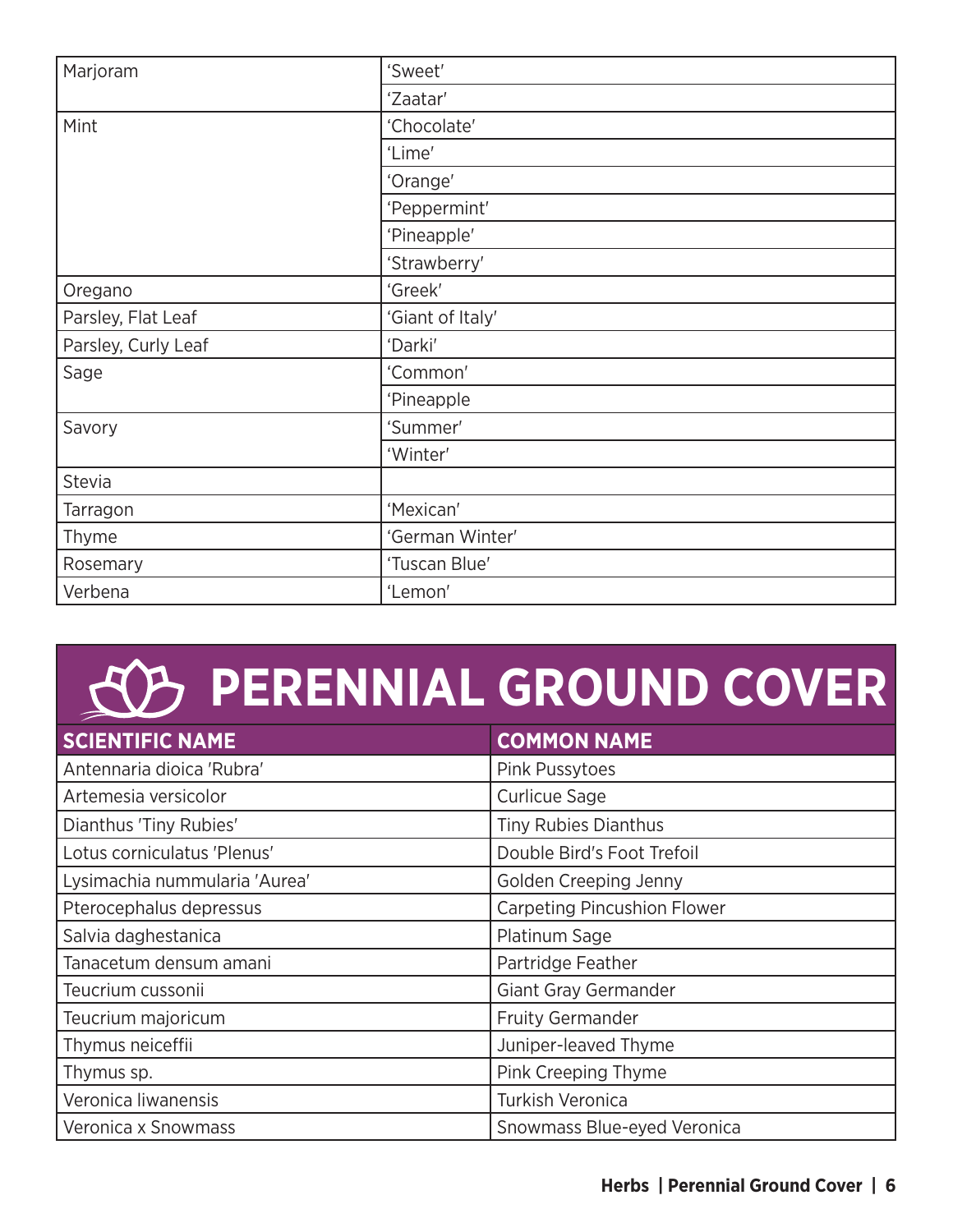| Marjoram            | 'Sweet'          |
|---------------------|------------------|
|                     | 'Zaatar'         |
| Mint                | 'Chocolate'      |
|                     | 'Lime'           |
|                     | 'Orange'         |
|                     | 'Peppermint'     |
|                     | 'Pineapple'      |
|                     | 'Strawberry'     |
| Oregano             | 'Greek'          |
| Parsley, Flat Leaf  | 'Giant of Italy' |
| Parsley, Curly Leaf | 'Darki'          |
| Sage                | 'Common'         |
|                     | 'Pineapple       |
| Savory              | 'Summer'         |
|                     | 'Winter'         |
| Stevia              |                  |
| Tarragon            | 'Mexican'        |
| Thyme               | 'German Winter'  |
| Rosemary            | 'Tuscan Blue'    |
| Verbena             | 'Lemon'          |

## **PERENNIAL GROUND COVER**

| <b>SCIENTIFIC NAME</b>        | <b>COMMON NAME</b>                 |
|-------------------------------|------------------------------------|
| Antennaria dioica 'Rubra'     | Pink Pussytoes                     |
| Artemesia versicolor          | <b>Curlicue Sage</b>               |
| Dianthus 'Tiny Rubies'        | Tiny Rubies Dianthus               |
| Lotus corniculatus 'Plenus'   | Double Bird's Foot Trefoil         |
| Lysimachia nummularia 'Aurea' | Golden Creeping Jenny              |
| Pterocephalus depressus       | <b>Carpeting Pincushion Flower</b> |
| Salvia daghestanica           | Platinum Sage                      |
| Tanacetum densum amani        | Partridge Feather                  |
| Teucrium cussonii             | Giant Gray Germander               |
| Teucrium majoricum            | <b>Fruity Germander</b>            |
| Thymus neiceffii              | Juniper-leaved Thyme               |
| Thymus sp.                    | Pink Creeping Thyme                |
| Veronica liwanensis           | Turkish Veronica                   |
| Veronica x Snowmass           | Snowmass Blue-eyed Veronica        |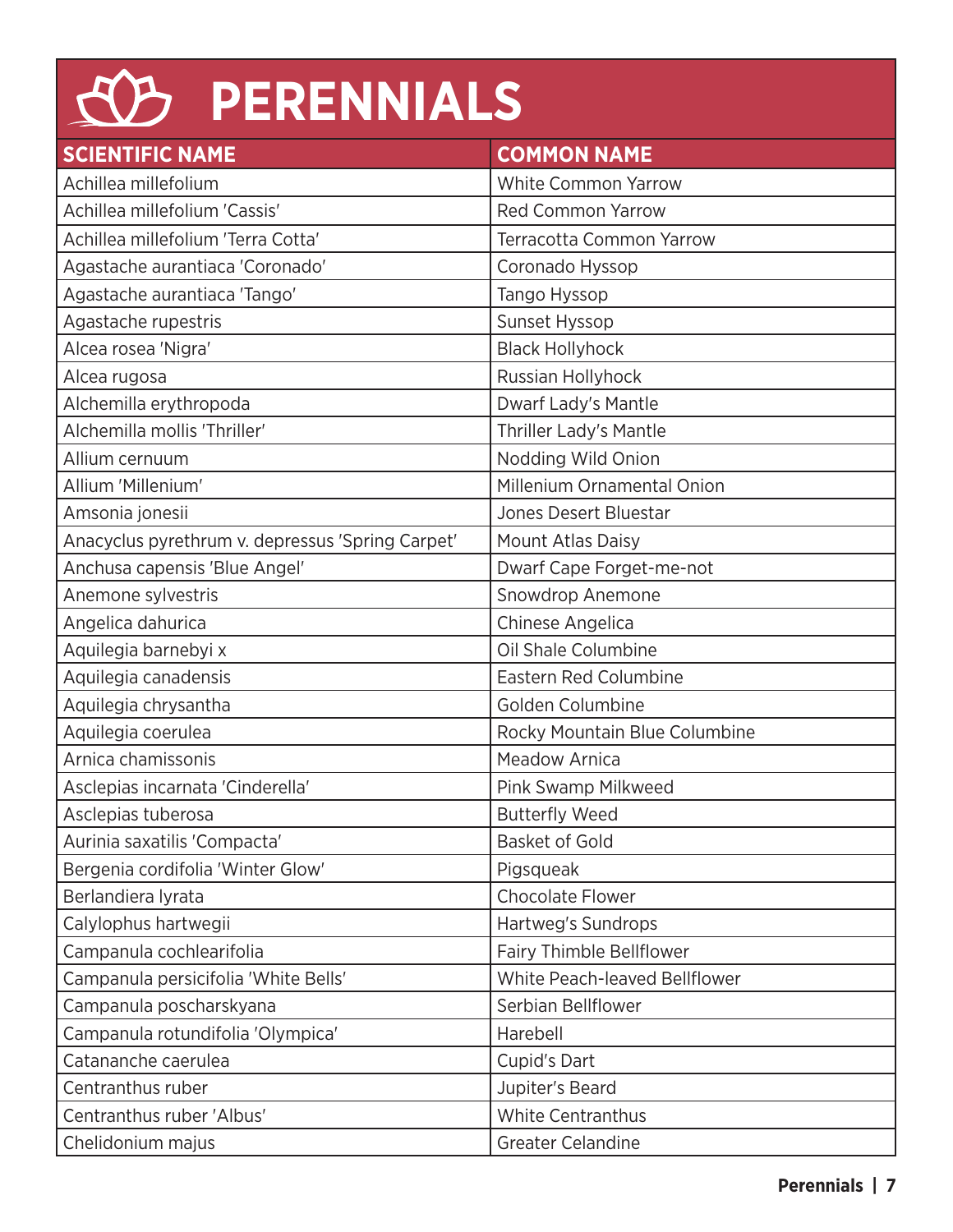#### $\overline{\mathcal{A}}$ **PERENNIALS SCIENTIFIC NAME COMMON NAME** Achillea millefolium National Muslim National White Common Yarrow Achillea millefolium 'Cassis' and a settlement of Red Common Yarrow Achillea millefolium 'Terra Cotta' Terracotta Common Yarrow Agastache aurantiaca 'Coronado' Coronado Hyssop Agastache aurantiaca 'Tango' Tango Hyssop Agastache rupestris National Sunset Hyssop

| Achillea millefolium 'Terra Cotta'               | Terracotta Common Yarrow        |
|--------------------------------------------------|---------------------------------|
| Agastache aurantiaca 'Coronado'                  | Coronado Hyssop                 |
| Agastache aurantiaca 'Tango'                     | Tango Hyssop                    |
| Agastache rupestris                              | Sunset Hyssop                   |
| Alcea rosea 'Nigra'                              | <b>Black Hollyhock</b>          |
| Alcea rugosa                                     | Russian Hollyhock               |
| Alchemilla erythropoda                           | Dwarf Lady's Mantle             |
| Alchemilla mollis 'Thriller'                     | Thriller Lady's Mantle          |
| Allium cernuum                                   | Nodding Wild Onion              |
| Allium 'Millenium'                               | Millenium Ornamental Onion      |
| Amsonia jonesii                                  | Jones Desert Bluestar           |
| Anacyclus pyrethrum v. depressus 'Spring Carpet' | Mount Atlas Daisy               |
| Anchusa capensis 'Blue Angel'                    | Dwarf Cape Forget-me-not        |
| Anemone sylvestris                               | Snowdrop Anemone                |
| Angelica dahurica                                | Chinese Angelica                |
| Aquilegia barnebyi x                             | Oil Shale Columbine             |
| Aquilegia canadensis                             | <b>Eastern Red Columbine</b>    |
| Aquilegia chrysantha                             | Golden Columbine                |
| Aquilegia coerulea                               | Rocky Mountain Blue Columbine   |
| Arnica chamissonis                               | <b>Meadow Arnica</b>            |
| Asclepias incarnata 'Cinderella'                 | Pink Swamp Milkweed             |
| Asclepias tuberosa                               | <b>Butterfly Weed</b>           |
| Aurinia saxatilis 'Compacta'                     | <b>Basket of Gold</b>           |
| Bergenia cordifolia 'Winter Glow'                | Pigsqueak                       |
| Berlandiera lyrata                               | <b>Chocolate Flower</b>         |
| Calylophus hartwegii                             | Hartweg's Sundrops              |
| Campanula cochlearifolia                         | <b>Fairy Thimble Bellflower</b> |
| Campanula persicifolia 'White Bells'             | White Peach-leaved Bellflower   |
| Campanula poscharskyana                          | Serbian Bellflower              |
| Campanula rotundifolia 'Olympica'                | Harebell                        |
| Catananche caerulea                              | Cupid's Dart                    |
| Centranthus ruber                                | Jupiter's Beard                 |
| Centranthus ruber 'Albus'                        | <b>White Centranthus</b>        |
| Chelidonium majus                                | <b>Greater Celandine</b>        |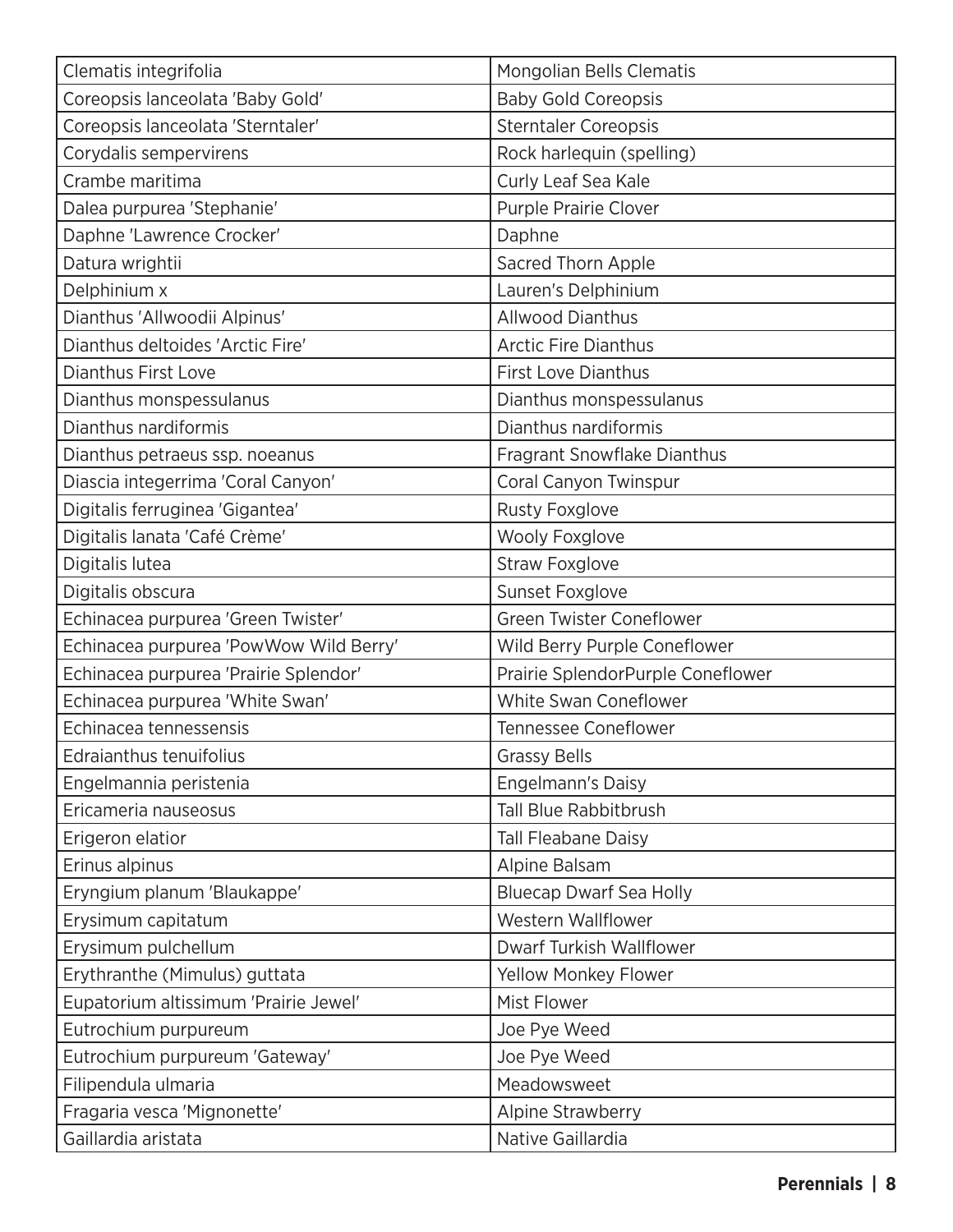| Clematis integrifolia                  | <b>Mongolian Bells Clematis</b>   |
|----------------------------------------|-----------------------------------|
| Coreopsis lanceolata 'Baby Gold'       | <b>Baby Gold Coreopsis</b>        |
| Coreopsis lanceolata 'Sterntaler'      | <b>Sterntaler Coreopsis</b>       |
| Corydalis sempervirens                 | Rock harlequin (spelling)         |
| Crambe maritima                        | Curly Leaf Sea Kale               |
| Dalea purpurea 'Stephanie'             | Purple Prairie Clover             |
| Daphne 'Lawrence Crocker'              | Daphne                            |
| Datura wrightii                        | Sacred Thorn Apple                |
| Delphinium x                           | Lauren's Delphinium               |
| Dianthus 'Allwoodii Alpinus'           | <b>Allwood Dianthus</b>           |
| Dianthus deltoides 'Arctic Fire'       | <b>Arctic Fire Dianthus</b>       |
| <b>Dianthus First Love</b>             | <b>First Love Dianthus</b>        |
| Dianthus monspessulanus                | Dianthus monspessulanus           |
| Dianthus nardiformis                   | Dianthus nardiformis              |
| Dianthus petraeus ssp. noeanus         | Fragrant Snowflake Dianthus       |
| Diascia integerrima 'Coral Canyon'     | Coral Canyon Twinspur             |
| Digitalis ferruginea 'Gigantea'        | <b>Rusty Foxglove</b>             |
| Digitalis lanata 'Café Crème'          | <b>Wooly Foxglove</b>             |
| Digitalis lutea                        | <b>Straw Foxglove</b>             |
| Digitalis obscura                      | Sunset Foxglove                   |
| Echinacea purpurea 'Green Twister'     | Green Twister Coneflower          |
| Echinacea purpurea 'PowWow Wild Berry' | Wild Berry Purple Coneflower      |
| Echinacea purpurea 'Prairie Splendor'  | Prairie SplendorPurple Coneflower |
| Echinacea purpurea 'White Swan'        | White Swan Coneflower             |
| Echinacea tennessensis                 | <b>Tennessee Coneflower</b>       |
| Edraianthus tenuifolius                | <b>Grassy Bells</b>               |
| Engelmannia peristenia                 | <b>Engelmann's Daisy</b>          |
| Ericameria nauseosus                   | <b>Tall Blue Rabbitbrush</b>      |
| Erigeron elatior                       | <b>Tall Fleabane Daisy</b>        |
| Erinus alpinus                         | Alpine Balsam                     |
| Eryngium planum 'Blaukappe'            | <b>Bluecap Dwarf Sea Holly</b>    |
| Erysimum capitatum                     | Western Wallflower                |
| Erysimum pulchellum                    | <b>Dwarf Turkish Wallflower</b>   |
| Erythranthe (Mimulus) guttata          | <b>Yellow Monkey Flower</b>       |
| Eupatorium altissimum 'Prairie Jewel'  | Mist Flower                       |
| Eutrochium purpureum                   | Joe Pye Weed                      |
| Eutrochium purpureum 'Gateway'         | Joe Pye Weed                      |
| Filipendula ulmaria                    | Meadowsweet                       |
| Fragaria vesca 'Mignonette'            | Alpine Strawberry                 |
| Gaillardia aristata                    | Native Gaillardia                 |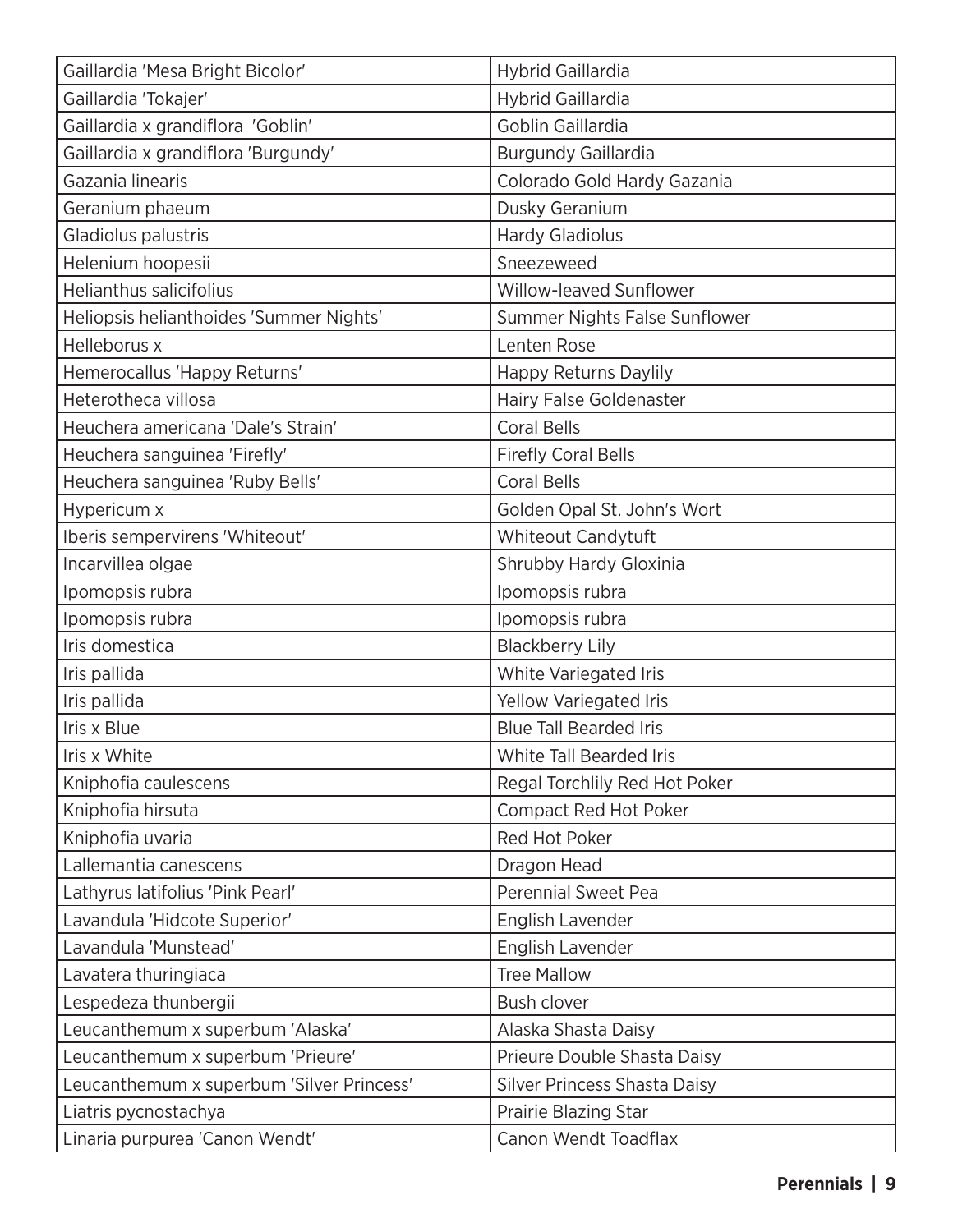| Gaillardia 'Mesa Bright Bicolor'          | Hybrid Gaillardia                   |
|-------------------------------------------|-------------------------------------|
| Gaillardia 'Tokajer'                      | <b>Hybrid Gaillardia</b>            |
| Gaillardia x grandiflora 'Goblin'         | Goblin Gaillardia                   |
| Gaillardia x grandiflora 'Burgundy'       | <b>Burgundy Gaillardia</b>          |
| Gazania linearis                          | Colorado Gold Hardy Gazania         |
| Geranium phaeum                           | Dusky Geranium                      |
| Gladiolus palustris                       | <b>Hardy Gladiolus</b>              |
| Helenium hoopesii                         | Sneezeweed                          |
| <b>Helianthus salicifolius</b>            | Willow-leaved Sunflower             |
| Heliopsis helianthoides 'Summer Nights'   | Summer Nights False Sunflower       |
| Helleborus x                              | Lenten Rose                         |
| Hemerocallus 'Happy Returns'              | <b>Happy Returns Daylily</b>        |
| Heterotheca villosa                       | Hairy False Goldenaster             |
| Heuchera americana 'Dale's Strain'        | <b>Coral Bells</b>                  |
| Heuchera sanguinea 'Firefly'              | <b>Firefly Coral Bells</b>          |
| Heuchera sanguinea 'Ruby Bells'           | <b>Coral Bells</b>                  |
| Hypericum x                               | Golden Opal St. John's Wort         |
| Iberis sempervirens 'Whiteout'            | Whiteout Candytuft                  |
| Incarvillea olgae                         | Shrubby Hardy Gloxinia              |
| Ipomopsis rubra                           | Ipomopsis rubra                     |
| Ipomopsis rubra                           | Ipomopsis rubra                     |
| Iris domestica                            | <b>Blackberry Lily</b>              |
| Iris pallida                              | White Variegated Iris               |
| Iris pallida                              | Yellow Variegated Iris              |
| Iris x Blue                               | <b>Blue Tall Bearded Iris</b>       |
| Iris x White                              | White Tall Bearded Iris             |
| Kniphofia caulescens                      | Regal Torchlily Red Hot Poker       |
| Kniphofia hirsuta                         | Compact Red Hot Poker               |
| Kniphofia uvaria                          | Red Hot Poker                       |
| Lallemantia canescens                     | Dragon Head                         |
| Lathyrus latifolius 'Pink Pearl'          | <b>Perennial Sweet Pea</b>          |
| Lavandula 'Hidcote Superior'              | English Lavender                    |
| Lavandula 'Munstead'                      | English Lavender                    |
| Lavatera thuringiaca                      | <b>Tree Mallow</b>                  |
| Lespedeza thunbergii                      | Bush clover                         |
| Leucanthemum x superbum 'Alaska'          | Alaska Shasta Daisy                 |
| Leucanthemum x superbum 'Prieure'         | Prieure Double Shasta Daisy         |
| Leucanthemum x superbum 'Silver Princess' | <b>Silver Princess Shasta Daisy</b> |
| Liatris pycnostachya                      | Prairie Blazing Star                |
| Linaria purpurea 'Canon Wendt'            | Canon Wendt Toadflax                |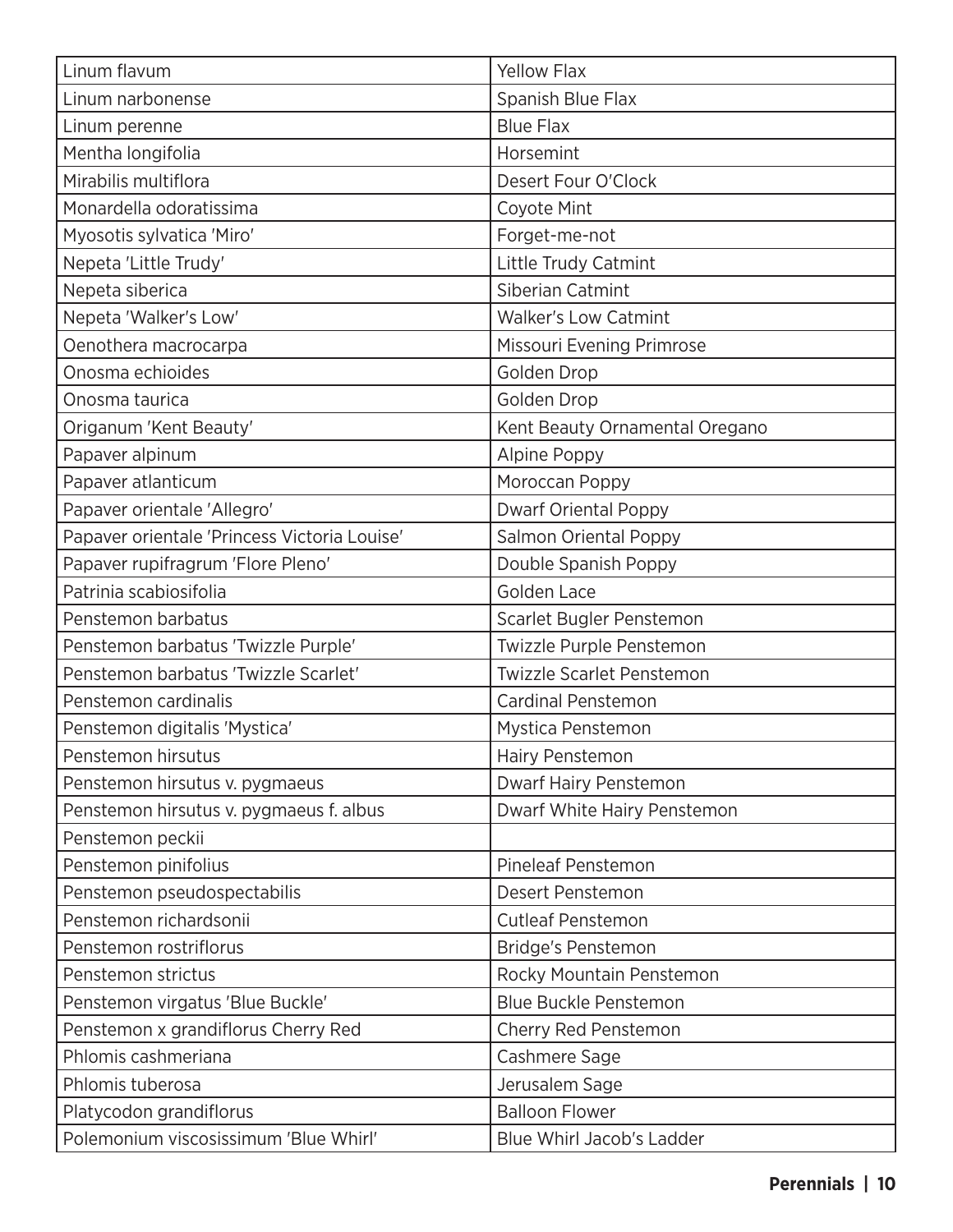| Linum flavum                                 | <b>Yellow Flax</b>             |
|----------------------------------------------|--------------------------------|
| Linum narbonense                             | Spanish Blue Flax              |
| Linum perenne                                | <b>Blue Flax</b>               |
| Mentha longifolia                            | Horsemint                      |
| Mirabilis multiflora                         | Desert Four O'Clock            |
| Monardella odoratissima                      | Coyote Mint                    |
| Myosotis sylvatica 'Miro'                    | Forget-me-not                  |
| Nepeta 'Little Trudy'                        | Little Trudy Catmint           |
| Nepeta siberica                              | Siberian Catmint               |
| Nepeta 'Walker's Low'                        | <b>Walker's Low Catmint</b>    |
| Oenothera macrocarpa                         | Missouri Evening Primrose      |
| Onosma echioides                             | Golden Drop                    |
| Onosma taurica                               | Golden Drop                    |
| Origanum 'Kent Beauty'                       | Kent Beauty Ornamental Oregano |
| Papaver alpinum                              | Alpine Poppy                   |
| Papaver atlanticum                           | Moroccan Poppy                 |
| Papaver orientale 'Allegro'                  | <b>Dwarf Oriental Poppy</b>    |
| Papaver orientale 'Princess Victoria Louise' | Salmon Oriental Poppy          |
| Papaver rupifragrum 'Flore Pleno'            | Double Spanish Poppy           |
| Patrinia scabiosifolia                       | <b>Golden Lace</b>             |
| Penstemon barbatus                           | Scarlet Bugler Penstemon       |
| Penstemon barbatus 'Twizzle Purple'          | Twizzle Purple Penstemon       |
| Penstemon barbatus 'Twizzle Scarlet'         | Twizzle Scarlet Penstemon      |
| Penstemon cardinalis                         | <b>Cardinal Penstemon</b>      |
| Penstemon digitalis 'Mystica'                | Mystica Penstemon              |
| Penstemon hirsutus                           | Hairy Penstemon                |
| Penstemon hirsutus v. pygmaeus               | Dwarf Hairy Penstemon          |
| Penstemon hirsutus v. pygmaeus f. albus      | Dwarf White Hairy Penstemon    |
| Penstemon peckii                             |                                |
| Penstemon pinifolius                         | <b>Pineleaf Penstemon</b>      |
| Penstemon pseudospectabilis                  | Desert Penstemon               |
| Penstemon richardsonii                       | <b>Cutleaf Penstemon</b>       |
| Penstemon rostriflorus                       | <b>Bridge's Penstemon</b>      |
| Penstemon strictus                           | Rocky Mountain Penstemon       |
| Penstemon virgatus 'Blue Buckle'             | <b>Blue Buckle Penstemon</b>   |
| Penstemon x grandiflorus Cherry Red          | Cherry Red Penstemon           |
| Phlomis cashmeriana                          | Cashmere Sage                  |
| Phlomis tuberosa                             | Jerusalem Sage                 |
| Platycodon grandiflorus                      | <b>Balloon Flower</b>          |
| Polemonium viscosissimum 'Blue Whirl'        | Blue Whirl Jacob's Ladder      |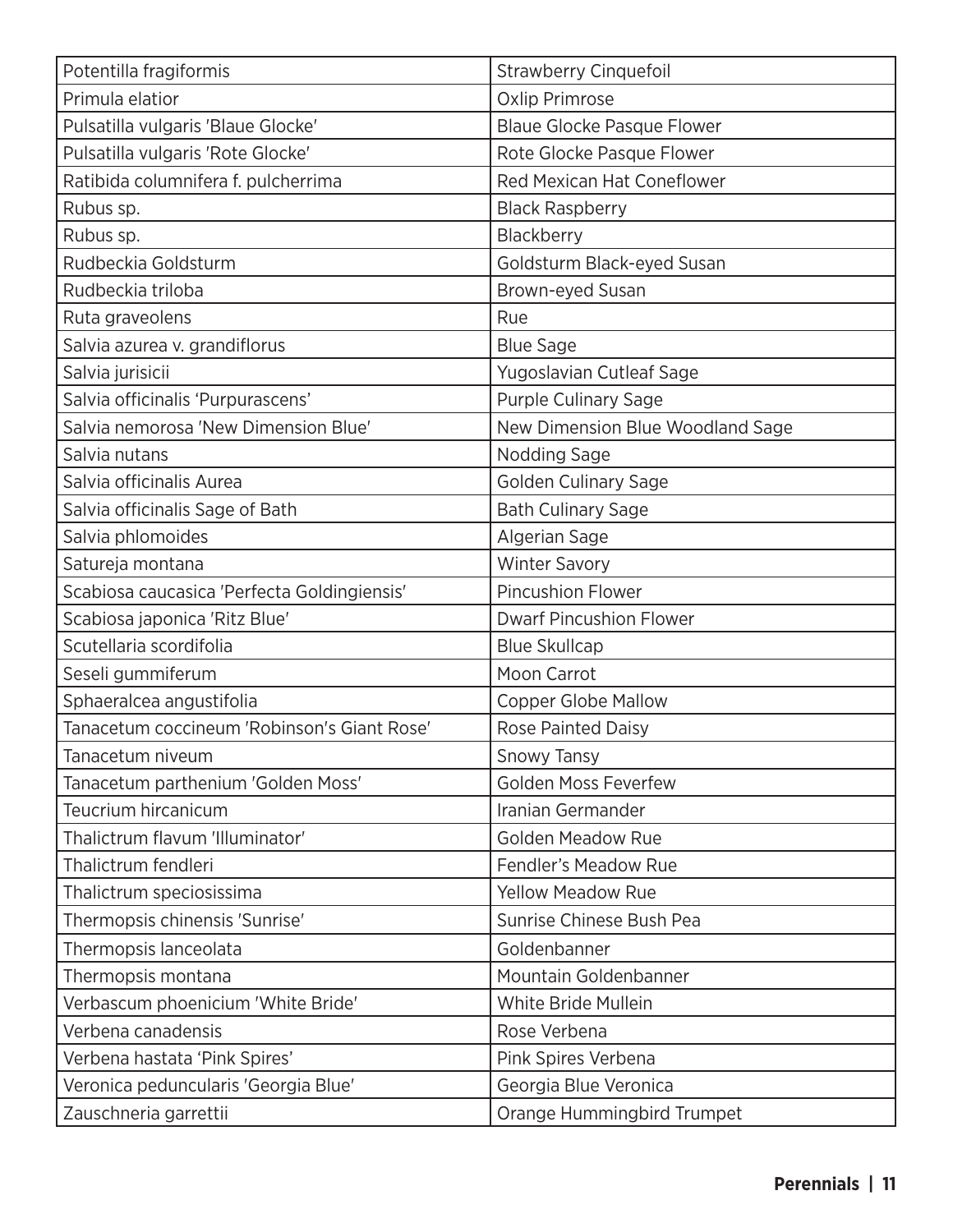| Potentilla fragiformis                      | <b>Strawberry Cinquefoil</b>      |
|---------------------------------------------|-----------------------------------|
| Primula elatior                             | <b>Oxlip Primrose</b>             |
| Pulsatilla vulgaris 'Blaue Glocke'          | <b>Blaue Glocke Pasque Flower</b> |
| Pulsatilla vulgaris 'Rote Glocke'           | Rote Glocke Pasque Flower         |
| Ratibida columnifera f. pulcherrima         | <b>Red Mexican Hat Coneflower</b> |
| Rubus sp.                                   | <b>Black Raspberry</b>            |
| Rubus sp.                                   | Blackberry                        |
| Rudbeckia Goldsturm                         | Goldsturm Black-eyed Susan        |
| Rudbeckia triloba                           | Brown-eyed Susan                  |
| Ruta graveolens                             | Rue                               |
| Salvia azurea v. grandiflorus               | <b>Blue Sage</b>                  |
| Salvia jurisicii                            | Yugoslavian Cutleaf Sage          |
| Salvia officinalis 'Purpurascens'           | <b>Purple Culinary Sage</b>       |
| Salvia nemorosa 'New Dimension Blue'        | New Dimension Blue Woodland Sage  |
| Salvia nutans                               | <b>Nodding Sage</b>               |
| Salvia officinalis Aurea                    | Golden Culinary Sage              |
| Salvia officinalis Sage of Bath             | <b>Bath Culinary Sage</b>         |
| Salvia phlomoides                           | Algerian Sage                     |
| Satureja montana                            | <b>Winter Savory</b>              |
| Scabiosa caucasica 'Perfecta Goldingiensis' | <b>Pincushion Flower</b>          |
| Scabiosa japonica 'Ritz Blue'               | <b>Dwarf Pincushion Flower</b>    |
| Scutellaria scordifolia                     | <b>Blue Skullcap</b>              |
| Seseli gummiferum                           | Moon Carrot                       |
| Sphaeralcea angustifolia                    | <b>Copper Globe Mallow</b>        |
| Tanacetum coccineum 'Robinson's Giant Rose' | <b>Rose Painted Daisy</b>         |
| Tanacetum niveum                            | Snowy Tansy                       |
| Tanacetum parthenium 'Golden Moss'          | <b>Golden Moss Feverfew</b>       |
| Teucrium hircanicum                         | Iranian Germander                 |
| Thalictrum flavum 'Illuminator'             | <b>Golden Meadow Rue</b>          |
| Thalictrum fendleri                         | <b>Fendler's Meadow Rue</b>       |
| Thalictrum speciosissima                    | <b>Yellow Meadow Rue</b>          |
| Thermopsis chinensis 'Sunrise'              | Sunrise Chinese Bush Pea          |
| Thermopsis lanceolata                       | Goldenbanner                      |
| Thermopsis montana                          | Mountain Goldenbanner             |
| Verbascum phoenicium 'White Bride'          | White Bride Mullein               |
| Verbena canadensis                          | Rose Verbena                      |
| Verbena hastata 'Pink Spires'               | Pink Spires Verbena               |
| Veronica peduncularis 'Georgia Blue'        | Georgia Blue Veronica             |
| Zauschneria garrettii                       | Orange Hummingbird Trumpet        |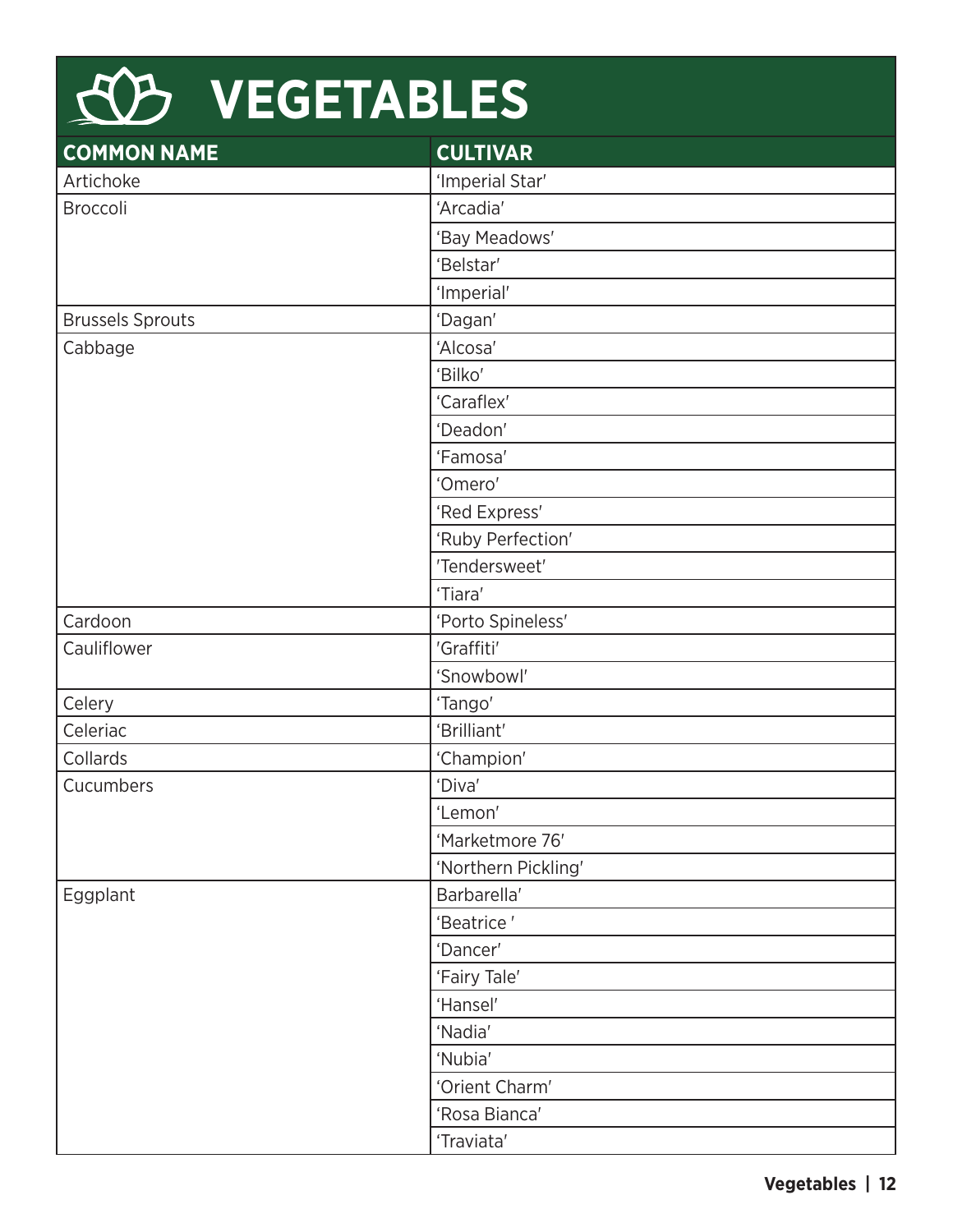| KB VEGETABLES           |                     |  |
|-------------------------|---------------------|--|
| <b>COMMON NAME</b>      | <b>CULTIVAR</b>     |  |
| Artichoke               | 'Imperial Star'     |  |
| Broccoli                | 'Arcadia'           |  |
|                         | 'Bay Meadows'       |  |
|                         | 'Belstar'           |  |
|                         | 'Imperial'          |  |
| <b>Brussels Sprouts</b> | 'Dagan'             |  |
| Cabbage                 | 'Alcosa'            |  |
|                         | 'Bilko'             |  |
|                         | 'Caraflex'          |  |
|                         | 'Deadon'            |  |
|                         | 'Famosa'            |  |
|                         | 'Omero'             |  |
|                         | 'Red Express'       |  |
|                         | 'Ruby Perfection'   |  |
|                         | 'Tendersweet'       |  |
|                         | 'Tiara'             |  |
| Cardoon                 | 'Porto Spineless'   |  |
| Cauliflower             | 'Graffiti'          |  |
|                         | 'Snowbowl'          |  |
| Celery                  | 'Tango'             |  |
| Celeriac                | 'Brilliant'         |  |
| Collards                | 'Champion'          |  |
| Cucumbers               | 'Diva'              |  |
|                         | 'Lemon'             |  |
|                         | 'Marketmore 76'     |  |
|                         | 'Northern Pickling' |  |
| Eggplant                | Barbarella'         |  |
|                         | 'Beatrice'          |  |
|                         | 'Dancer'            |  |
|                         | 'Fairy Tale'        |  |
|                         | 'Hansel'            |  |
|                         | 'Nadia'             |  |
|                         | 'Nubia'             |  |
|                         | 'Orient Charm'      |  |
|                         | 'Rosa Bianca'       |  |

'Traviata'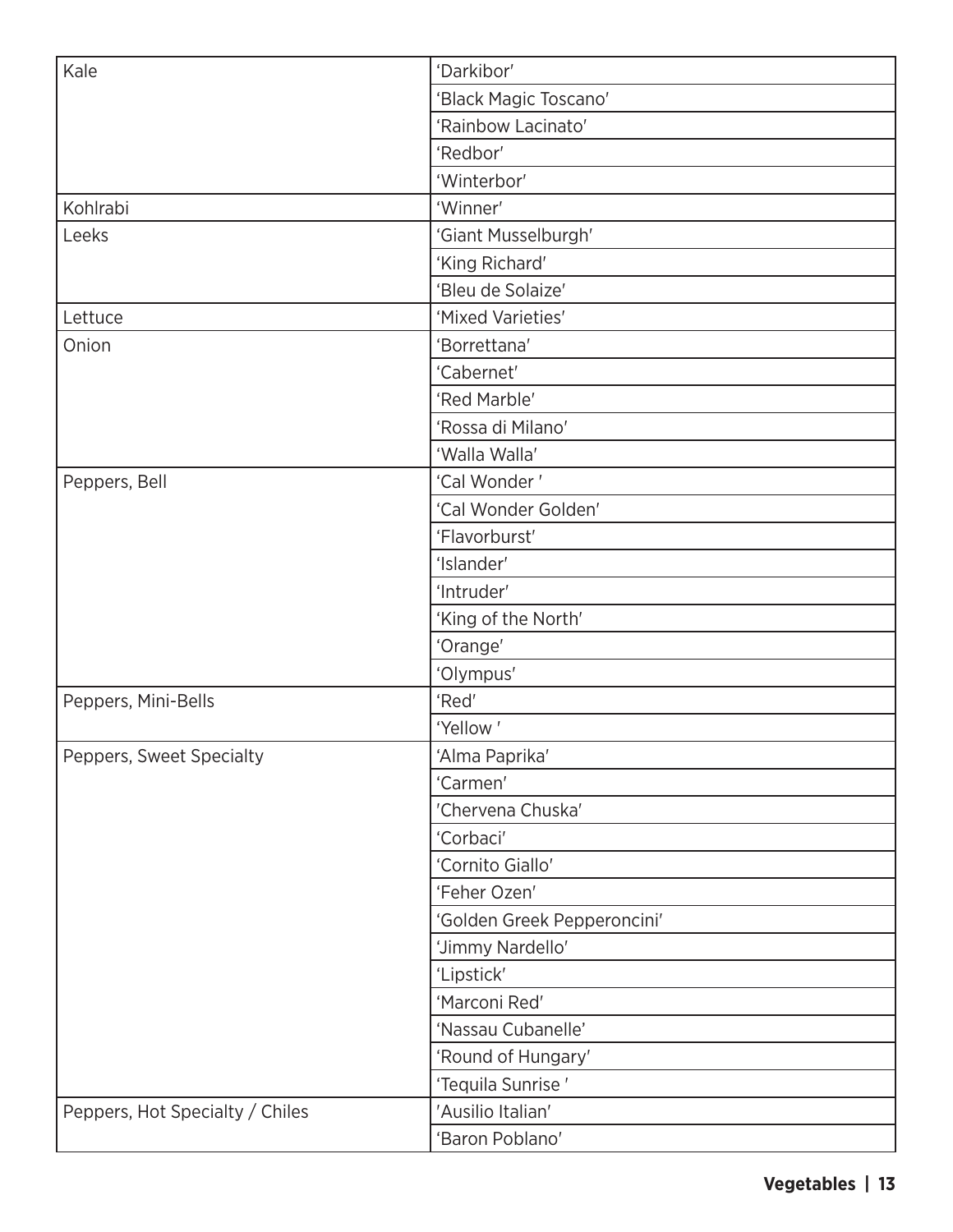| Kale                            | 'Darkibor'                  |
|---------------------------------|-----------------------------|
|                                 | 'Black Magic Toscano'       |
|                                 | 'Rainbow Lacinato'          |
|                                 | 'Redbor'                    |
|                                 | 'Winterbor'                 |
| Kohlrabi                        | 'Winner'                    |
| Leeks                           | 'Giant Musselburgh'         |
|                                 | 'King Richard'              |
|                                 | 'Bleu de Solaize'           |
| Lettuce                         | 'Mixed Varieties'           |
| Onion                           | 'Borrettana'                |
|                                 | 'Cabernet'                  |
|                                 | 'Red Marble'                |
|                                 | 'Rossa di Milano'           |
|                                 | 'Walla Walla'               |
| Peppers, Bell                   | 'Cal Wonder'                |
|                                 | 'Cal Wonder Golden'         |
|                                 | 'Flavorburst'               |
|                                 | 'Islander'                  |
|                                 | 'Intruder'                  |
|                                 | 'King of the North'         |
|                                 | 'Orange'                    |
|                                 | 'Olympus'                   |
| Peppers, Mini-Bells             | 'Red'                       |
|                                 | 'Yellow'                    |
| Peppers, Sweet Specialty        | 'Alma Paprika'              |
|                                 | 'Carmen'                    |
|                                 | 'Chervena Chuska'           |
|                                 | 'Corbaci'                   |
|                                 | 'Cornito Giallo'            |
|                                 | 'Feher Ozen'                |
|                                 | 'Golden Greek Pepperoncini' |
|                                 | 'Jimmy Nardello'            |
|                                 | 'Lipstick'                  |
|                                 | 'Marconi Red'               |
|                                 | 'Nassau Cubanelle'          |
|                                 | 'Round of Hungary'          |
|                                 | 'Tequila Sunrise'           |
| Peppers, Hot Specialty / Chiles | 'Ausilio Italian'           |
|                                 | 'Baron Poblano'             |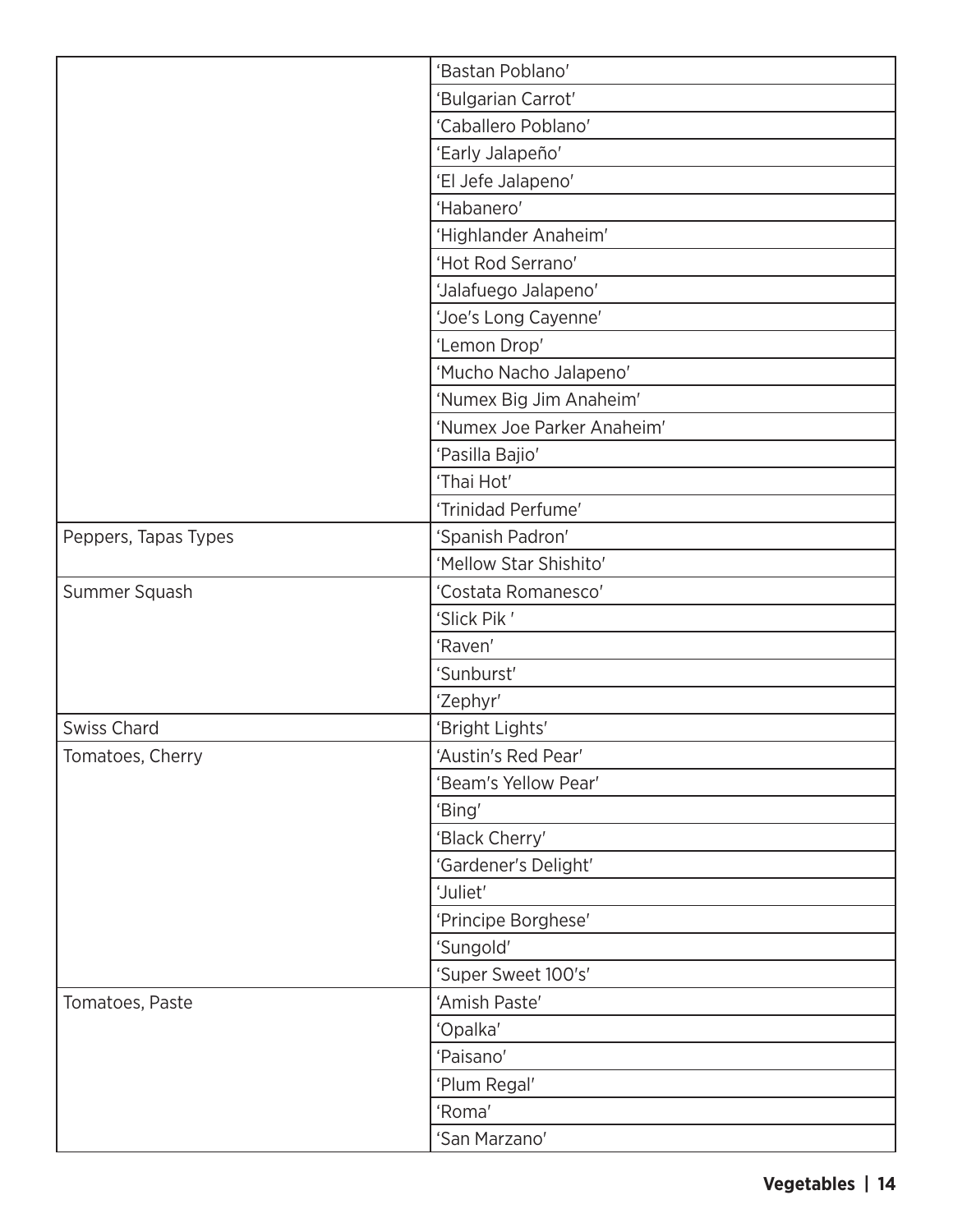|                      | 'Bastan Poblano'           |
|----------------------|----------------------------|
|                      | 'Bulgarian Carrot'         |
|                      | 'Caballero Poblano'        |
|                      | 'Early Jalapeño'           |
|                      | 'El Jefe Jalapeno'         |
|                      | 'Habanero'                 |
|                      | 'Highlander Anaheim'       |
|                      | 'Hot Rod Serrano'          |
|                      | 'Jalafuego Jalapeno'       |
|                      | 'Joe's Long Cayenne'       |
|                      | 'Lemon Drop'               |
|                      | 'Mucho Nacho Jalapeno'     |
|                      | 'Numex Big Jim Anaheim'    |
|                      | 'Numex Joe Parker Anaheim' |
|                      | 'Pasilla Bajio'            |
|                      | 'Thai Hot'                 |
|                      | 'Trinidad Perfume'         |
| Peppers, Tapas Types | 'Spanish Padron'           |
|                      | 'Mellow Star Shishito'     |
| Summer Squash        | 'Costata Romanesco'        |
|                      | 'Slick Pik'                |
|                      | 'Raven'                    |
|                      | 'Sunburst'                 |
|                      | 'Zephyr'                   |
| <b>Swiss Chard</b>   | 'Bright Lights'            |
| Tomatoes, Cherry     | 'Austin's Red Pear'        |
|                      | 'Beam's Yellow Pear'       |
|                      | 'Bing'                     |
|                      | 'Black Cherry'             |
|                      | 'Gardener's Delight'       |
|                      | 'Juliet'                   |
|                      | 'Principe Borghese'        |
|                      | 'Sungold'                  |
|                      | 'Super Sweet 100's'        |
| Tomatoes, Paste      | 'Amish Paste'              |
|                      | 'Opalka'                   |
|                      | 'Paisano'                  |
|                      | 'Plum Regal'               |
|                      | 'Roma'                     |
|                      | 'San Marzano'              |